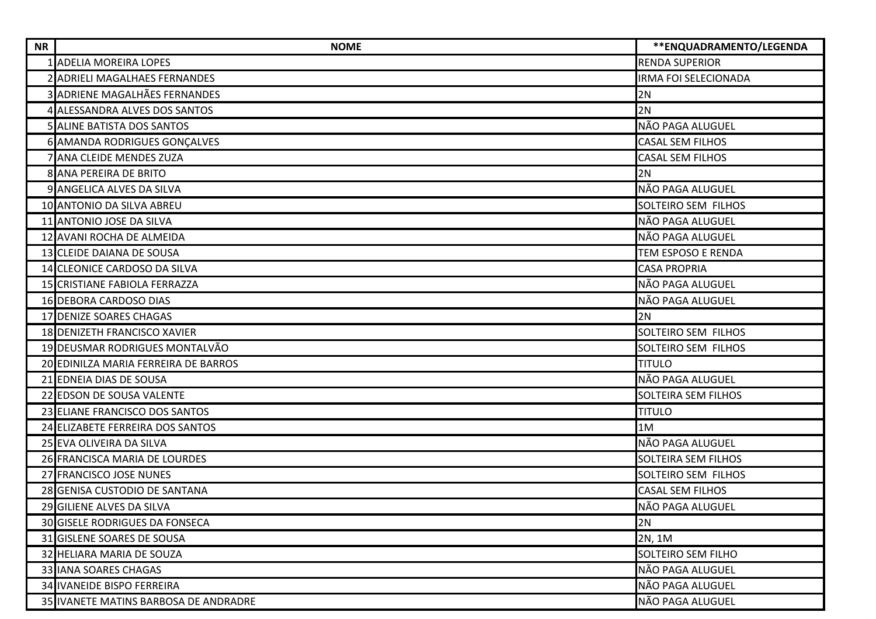| <b>NR</b> | <b>NOME</b>                           | ** ENQUADRAMENTO/LEGENDA    |
|-----------|---------------------------------------|-----------------------------|
|           | <b>ADELIA MOREIRA LOPES</b>           | <b>RENDA SUPERIOR</b>       |
|           | 2 ADRIELI MAGALHAES FERNANDES         | <b>IRMA FOI SELECIONADA</b> |
|           | ADRIENE MAGALHÃES FERNANDES           | 2N                          |
|           | 4 ALESSANDRA ALVES DOS SANTOS         | 2N                          |
|           | <b>5 ALINE BATISTA DOS SANTOS</b>     | NÃO PAGA ALUGUEL            |
|           | 6 AMANDA RODRIGUES GONÇALVES          | <b>CASAL SEM FILHOS</b>     |
|           | ANA CLEIDE MENDES ZUZA                | <b>CASAL SEM FILHOS</b>     |
|           | 8 ANA PEREIRA DE BRITO                | 2N                          |
|           | 9 ANGELICA ALVES DA SILVA             | NÃO PAGA ALUGUEL            |
|           | 10 ANTONIO DA SILVA ABREU             | SOLTEIRO SEM FILHOS         |
|           | 11 ANTONIO JOSE DA SILVA              | NÃO PAGA ALUGUEL            |
|           | 12 AVANI ROCHA DE ALMEIDA             | NÃO PAGA ALUGUEL            |
|           | 13 CLEIDE DAIANA DE SOUSA             | <b>TEM ESPOSO E RENDA</b>   |
|           | 14 CLEONICE CARDOSO DA SILVA          | <b>CASA PROPRIA</b>         |
|           | 15 CRISTIANE FABIOLA FERRAZZA         | NÃO PAGA ALUGUEL            |
|           | <b>16 DEBORA CARDOSO DIAS</b>         | NÃO PAGA ALUGUEL            |
|           | 17 DENIZE SOARES CHAGAS               | 2N                          |
|           | 18 DENIZETH FRANCISCO XAVIER          | SOLTEIRO SEM FILHOS         |
|           | 19 DEUSMAR RODRIGUES MONTALVÃO        | SOLTEIRO SEM FILHOS         |
|           | 20 EDINILZA MARIA FERREIRA DE BARROS  | <b>TITULO</b>               |
|           | 21 EDNEIA DIAS DE SOUSA               | NÃO PAGA ALUGUEL            |
|           | 22 EDSON DE SOUSA VALENTE             | <b>SOLTEIRA SEM FILHOS</b>  |
|           | 23 ELIANE FRANCISCO DOS SANTOS        | <b>TITULO</b>               |
|           | 24 ELIZABETE FERREIRA DOS SANTOS      | 1M                          |
|           | 25 EVA OLIVEIRA DA SILVA              | NÃO PAGA ALUGUEL            |
|           | 26 FRANCISCA MARIA DE LOURDES         | <b>SOLTEIRA SEM FILHOS</b>  |
|           | 27 FRANCISCO JOSE NUNES               | SOLTEIRO SEM FILHOS         |
|           | 28 GENISA CUSTODIO DE SANTANA         | <b>CASAL SEM FILHOS</b>     |
|           | 29 GILIENE ALVES DA SILVA             | NÃO PAGA ALUGUEL            |
|           | <b>30 GISELE RODRIGUES DA FONSECA</b> | 2N                          |
|           | 31 GISLENE SOARES DE SOUSA            | 2N, 1M                      |
|           | 32 HELIARA MARIA DE SOUZA             | SOLTEIRO SEM FILHO          |
|           | 33 IANA SOARES CHAGAS                 | NÃO PAGA ALUGUEL            |
|           | <b>34 IVANEIDE BISPO FERREIRA</b>     | NÃO PAGA ALUGUEL            |
|           | 35 IVANETE MATINS BARBOSA DE ANDRADRE | NÃO PAGA ALUGUEL            |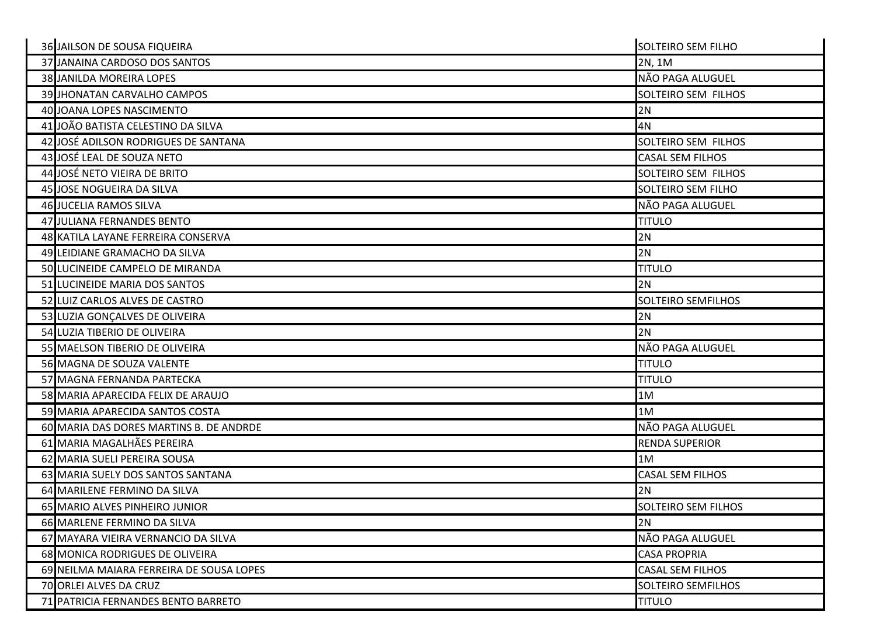| 36 JAILSON DE SOUSA FIQUEIRA             | <b>SOLTEIRO SEM FILHO</b>  |
|------------------------------------------|----------------------------|
| 37 JANAINA CARDOSO DOS SANTOS            | 2N, 1M                     |
| <b>38 JANILDA MOREIRA LOPES</b>          | NÃO PAGA ALUGUEL           |
| 39 JHONATAN CARVALHO CAMPOS              | SOLTEIRO SEM FILHOS        |
| 40 JOANA LOPES NASCIMENTO                | 2N                         |
| 41 JOÃO BATISTA CELESTINO DA SILVA       | 4N                         |
| 42 JOSÉ ADILSON RODRIGUES DE SANTANA     | SOLTEIRO SEM FILHOS        |
| 43 JOSÉ LEAL DE SOUZA NETO               | <b>CASAL SEM FILHOS</b>    |
| 44 JOSÉ NETO VIEIRA DE BRITO             | <b>SOLTEIRO SEM FILHOS</b> |
| 45 JOSE NOGUEIRA DA SILVA                | <b>SOLTEIRO SEM FILHO</b>  |
| <b>46 JUCELIA RAMOS SILVA</b>            | NÃO PAGA ALUGUEL           |
| 47 JULIANA FERNANDES BENTO               | <b>TITULO</b>              |
| 48 KATILA LAYANE FERREIRA CONSERVA       | 2N                         |
| 49 LEIDIANE GRAMACHO DA SILVA            | 2N                         |
| 50 LUCINEIDE CAMPELO DE MIRANDA          | <b>TITULO</b>              |
| 51 LUCINEIDE MARIA DOS SANTOS            | 2N                         |
| 52 LUIZ CARLOS ALVES DE CASTRO           | <b>SOLTEIRO SEMFILHOS</b>  |
|                                          | 2N                         |
| 53 LUZIA GONÇALVES DE OLIVEIRA           |                            |
| 54 LUZIA TIBERIO DE OLIVEIRA             | 2N                         |
| 55 MAELSON TIBERIO DE OLIVEIRA           | NÃO PAGA ALUGUEL           |
| 56 MAGNA DE SOUZA VALENTE                | <b>TITULO</b>              |
| 57 MAGNA FERNANDA PARTECKA               | <b>TITULO</b>              |
| 58 MARIA APARECIDA FELIX DE ARAUJO       | 1M                         |
| 59 MARIA APARECIDA SANTOS COSTA          | 1M                         |
| 60 MARIA DAS DORES MARTINS B. DE ANDRDE  | NÃO PAGA ALUGUEL           |
| 61 MARIA MAGALHÃES PEREIRA               | <b>RENDA SUPERIOR</b>      |
| 62 MARIA SUELI PEREIRA SOUSA             | 1M                         |
| 63 MARIA SUELY DOS SANTOS SANTANA        | <b>CASAL SEM FILHOS</b>    |
| 64 MARILENE FERMINO DA SILVA             | 2N                         |
| 65 MARIO ALVES PINHEIRO JUNIOR           | <b>SOLTEIRO SEM FILHOS</b> |
| 66 MARLENE FERMINO DA SILVA              | 2N                         |
| 67 MAYARA VIEIRA VERNANCIO DA SILVA      | NÃO PAGA ALUGUEL           |
| 68 MONICA RODRIGUES DE OLIVEIRA          | <b>CASA PROPRIA</b>        |
| 69 NEILMA MAIARA FERREIRA DE SOUSA LOPES | <b>CASAL SEM FILHOS</b>    |
| 70 ORLEI ALVES DA CRUZ                   | <b>SOLTEIRO SEMFILHOS</b>  |